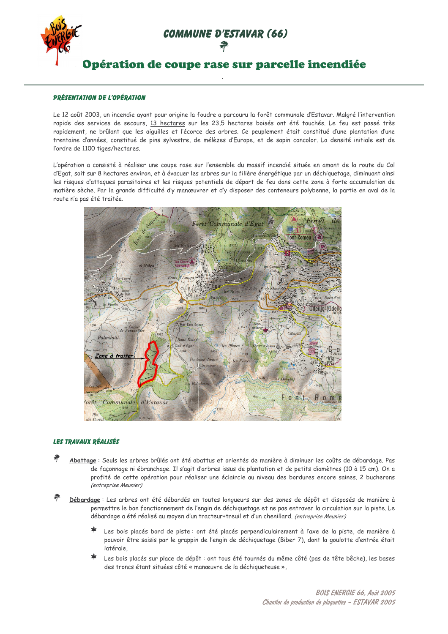**COMMUNE D'ESTAVAR (66)** 兼



## Opération de coupe rase sur parcelle incendiée

### **PRÉSENTATION DE L'OPÉRATION**

Le 12 août 2003, un incendie ayant pour origine la foudre a parcouru la forêt communale d'Estavar. Malgré l'intervention rapide des services de secours, 13 hectares sur les 23,5 hectares boisés ont été touchés. Le feu est passé très rapidement, ne brûlant que les aiquilles et l'écorce des arbres. Ce peuplement était constitué d'une plantation d'une trentaine d'années, constitué de pins sylvestre, de mélèzes d'Europe, et de sapin concolor. La densité initiale est de l'ordre de 1100 tiges/hectares.

L'opération a consisté à réaliser une coupe rase sur l'ensemble du massif incendié située en amont de la route du Col d'Egat, soit sur 8 hectares environ, et à évacuer les arbres sur la filière énergétique par un déchiquetage, diminuant ainsi les risques d'attaques parasitaires et les risques potentiels de départ de feu dans cette zone à forte accumulation de matière sèche. Par la grande difficulté d'y manœuvrer et d'y disposer des conteneurs polybenne, la partie en aval de la route n'a pas été traitée.



### **LES TRAVAUX RÉALISÉS**

- Abattage : Seuls les arbres brûlés ont été abattus et orientés de manière à diminuer les coûts de débardage. Pas de façonnage ni ébranchage. Il s'agit d'arbres issus de plantation et de petits diamètres (10 à 15 cm). On a profité de cette opération pour réaliser une éclaircie au niveau des bordures encore saines. 2 bucherons (entreprise Meunier)
- Débardage : Les arbres ont été débardés en toutes longueurs sur des zones de dépôt et disposés de manière à permettre le bon fonctionnement de l'engin de déchiquetage et ne pas entraver la circulation sur la piste. Le débardage a été réalisé au moyen d'un tracteur+treuil et d'un chenillard. (entreprise Meunier)
	- ∗ Les bois placés bord de piste : ont été placés perpendiculairement à l'axe de la piste, de manière à pouvoir être saisis par le grappin de l'engin de déchiquetage (Biber 7), dont la goulotte d'entrée était latérale,
	- $\star$ Les bois placés sur place de dépôt : ont tous été tournés du même côté (pas de tête bêche), les bases des troncs étant situées côté « manœuvre de la déchiqueteuse ».